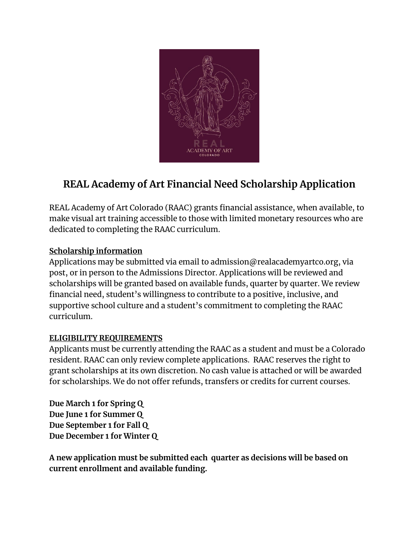

## **REAL Academy of Art Financial Need Scholarship Application**

REAL Academy of Art Colorado (RAAC) grants financial assistance, when available, to make visual art training accessible to those with limited monetary resources who are dedicated to completing the RAAC curriculum.

## **Scholarship information**

Applications may be submitted via email to admission@realacademyartco.org, via post, or in person to the Admissions Director. Applications will be reviewed and scholarships will be granted based on available funds, quarter by quarter. We review financial need, student's willingness to contribute to a positive, inclusive, and supportive school culture and a student's commitment to completing the RAAC curriculum.

## **ELIGIBILITY REQUIREMENTS**

Applicants must be currently attending the RAAC as a student and must be a Colorado resident. RAAC can only review complete applications. RAAC reserves the right to grant scholarships at its own discretion. No cash value is attached or will be awarded for scholarships. We do not offer refunds, transfers or credits for current courses.

**Due March 1 for Spring Q Due June 1 for Summer Q Due September 1 for Fall Q Due December 1 for Winter Q**

**A new application must be submitted each quarter as decisions will be based on current enrollment and available funding.**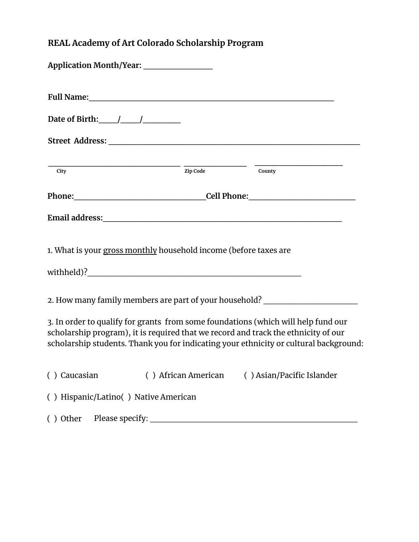## **REAL Academy of Art Colorado Scholarship Program**

| Application Month/Year: ________________                                                                                                                                |  |                                                                                       |
|-------------------------------------------------------------------------------------------------------------------------------------------------------------------------|--|---------------------------------------------------------------------------------------|
|                                                                                                                                                                         |  |                                                                                       |
|                                                                                                                                                                         |  |                                                                                       |
|                                                                                                                                                                         |  |                                                                                       |
| $\overline{\text{City}}$                                                                                                                                                |  | $\frac{1}{\text{Zip Code}}$ $\frac{1}{\text{County}}$                                 |
|                                                                                                                                                                         |  |                                                                                       |
|                                                                                                                                                                         |  |                                                                                       |
| 1. What is your gross monthly household income (before taxes are                                                                                                        |  |                                                                                       |
| 2. How many family members are part of your household? _________________________                                                                                        |  |                                                                                       |
| 3. In order to qualify for grants from some foundations (which will help fund our<br>scholarship program), it is required that we record and track the ethnicity of our |  | scholarship students. Thank you for indicating your ethnicity or cultural background: |
| () Caucasian () African American () Asian/Pacific Islander                                                                                                              |  |                                                                                       |
| () Hispanic/Latino() Native American                                                                                                                                    |  |                                                                                       |
|                                                                                                                                                                         |  |                                                                                       |